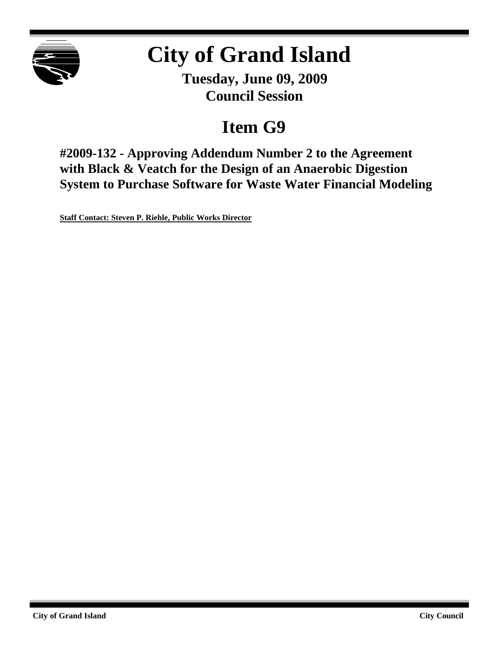

# **City of Grand Island**

**Tuesday, June 09, 2009 Council Session**

## **Item G9**

**#2009-132 - Approving Addendum Number 2 to the Agreement with Black & Veatch for the Design of an Anaerobic Digestion System to Purchase Software for Waste Water Financial Modeling**

**Staff Contact: Steven P. Riehle, Public Works Director**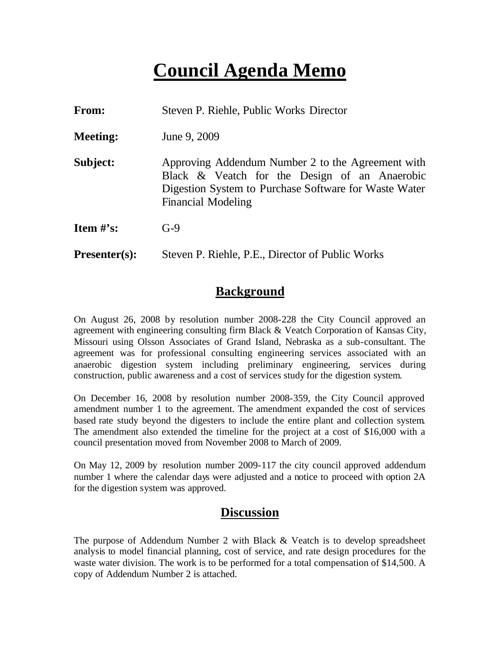## **Council Agenda Memo**

| From:                          | Steven P. Riehle, Public Works Director                                                                                                                                                  |
|--------------------------------|------------------------------------------------------------------------------------------------------------------------------------------------------------------------------------------|
| <b>Meeting:</b>                | June 9, 2009                                                                                                                                                                             |
| Subject:                       | Approving Addendum Number 2 to the Agreement with<br>Black & Veatch for the Design of an Anaerobic<br>Digestion System to Purchase Software for Waste Water<br><b>Financial Modeling</b> |
| <b>Item <math>\#</math>'s:</b> | $G-9$                                                                                                                                                                                    |
| $Presenter(s):$                | Steven P. Riehle, P.E., Director of Public Works                                                                                                                                         |

## **Background**

On August 26, 2008 by resolution number 2008-228 the City Council approved an agreement with engineering consulting firm Black & Veatch Corporation of Kansas City, Missouri using Olsson Associates of Grand Island, Nebraska as a sub-consultant. The agreement was for professional consulting engineering services associated with an anaerobic digestion system including preliminary engineering, services during construction, public awareness and a cost of services study for the digestion system.

On December 16, 2008 by resolution number 2008-359, the City Council approved amendment number 1 to the agreement. The amendment expanded the cost of services based rate study beyond the digesters to include the entire plant and collection system. The amendment also extended the timeline for the project at a cost of \$16,000 with a council presentation moved from November 2008 to March of 2009.

On May 12, 2009 by resolution number 2009-117 the city council approved addendum number 1 where the calendar days were adjusted and a notice to proceed with option 2A for the digestion system was approved.

## **Discussion**

The purpose of Addendum Number 2 with Black & Veatch is to develop spreadsheet analysis to model financial planning, cost of service, and rate design procedures for the waste water division. The work is to be performed for a total compensation of \$14,500. A copy of Addendum Number 2 is attached.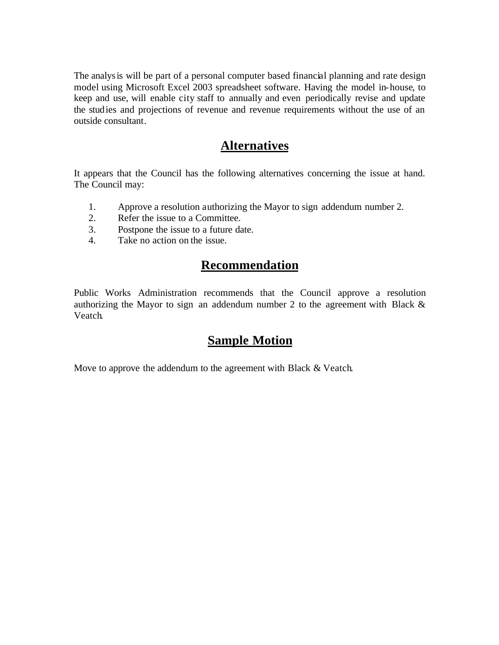The analysis will be part of a personal computer based financial planning and rate design model using Microsoft Excel 2003 spreadsheet software. Having the model in-house, to keep and use, will enable city staff to annually and even periodically revise and update the studies and projections of revenue and revenue requirements without the use of an outside consultant.

### **Alternatives**

It appears that the Council has the following alternatives concerning the issue at hand. The Council may:

- 1. Approve a resolution authorizing the Mayor to sign addendum number 2.
- 2. Refer the issue to a Committee.
- 3. Postpone the issue to a future date.
- 4. Take no action on the issue.

## **Recommendation**

Public Works Administration recommends that the Council approve a resolution authorizing the Mayor to sign an addendum number 2 to the agreement with Black & Veatch.

## **Sample Motion**

Move to approve the addendum to the agreement with Black & Veatch.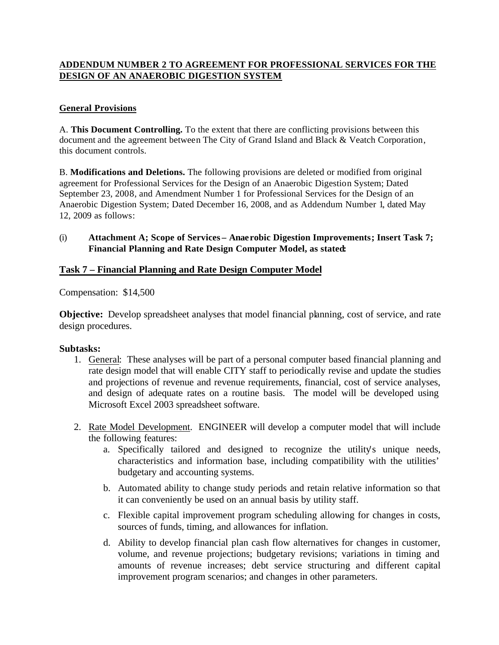#### **ADDENDUM NUMBER 2 TO AGREEMENT FOR PROFESSIONAL SERVICES FOR THE DESIGN OF AN ANAEROBIC DIGESTION SYSTEM**

#### **General Provisions**

A. **This Document Controlling.** To the extent that there are conflicting provisions between this document and the agreement between The City of Grand Island and Black & Veatch Corporation, this document controls.

B. **Modifications and Deletions.** The following provisions are deleted or modified from original agreement for Professional Services for the Design of an Anaerobic Digestion System; Dated September 23, 2008, and Amendment Number 1 for Professional Services for the Design of an Anaerobic Digestion System; Dated December 16, 2008, and as Addendum Number 1, dated May 12, 2009 as follows:

#### (i) **Attachment A; Scope of Services – Anae robic Digestion Improvements; Insert Task 7; Financial Planning and Rate Design Computer Model, as stated:**

#### **Task 7 – Financial Planning and Rate Design Computer Model**

Compensation: \$14,500

**Objective:** Develop spreadsheet analyses that model financial planning, cost of service, and rate design procedures.

#### **Subtasks:**

- 1. General: These analyses will be part of a personal computer based financial planning and rate design model that will enable CITY staff to periodically revise and update the studies and projections of revenue and revenue requirements, financial, cost of service analyses, and design of adequate rates on a routine basis. The model will be developed using Microsoft Excel 2003 spreadsheet software.
- 2. Rate Model Development. ENGINEER will develop a computer model that will include the following features:
	- a. Specifically tailored and designed to recognize the utility's unique needs, characteristics and information base, including compatibility with the utilities' budgetary and accounting systems.
	- b. Automated ability to change study periods and retain relative information so that it can conveniently be used on an annual basis by utility staff.
	- c. Flexible capital improvement program scheduling allowing for changes in costs, sources of funds, timing, and allowances for inflation.
	- d. Ability to develop financial plan cash flow alternatives for changes in customer, volume, and revenue projections; budgetary revisions; variations in timing and amounts of revenue increases; debt service structuring and different capital improvement program scenarios; and changes in other parameters.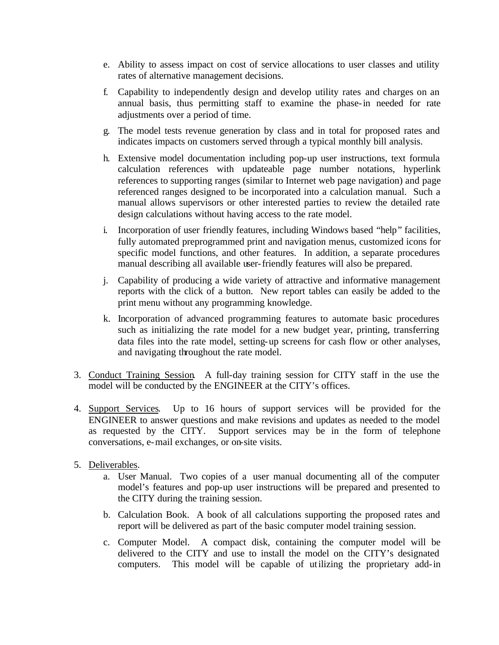- e. Ability to assess impact on cost of service allocations to user classes and utility rates of alternative management decisions.
- f. Capability to independently design and develop utility rates and charges on an annual basis, thus permitting staff to examine the phase-in needed for rate adjustments over a period of time.
- g. The model tests revenue generation by class and in total for proposed rates and indicates impacts on customers served through a typical monthly bill analysis.
- h. Extensive model documentation including pop-up user instructions, text formula calculation references with updateable page number notations, hyperlink references to supporting ranges (similar to Internet web page navigation) and page referenced ranges designed to be incorporated into a calculation manual. Such a manual allows supervisors or other interested parties to review the detailed rate design calculations without having access to the rate model.
- i. Incorporation of user friendly features, including Windows based "help" facilities, fully automated preprogrammed print and navigation menus, customized icons for specific model functions, and other features. In addition, a separate procedures manual describing all available user-friendly features will also be prepared.
- j. Capability of producing a wide variety of attractive and informative management reports with the click of a button. New report tables can easily be added to the print menu without any programming knowledge.
- k. Incorporation of advanced programming features to automate basic procedures such as initializing the rate model for a new budget year, printing, transferring data files into the rate model, setting-up screens for cash flow or other analyses, and navigating throughout the rate model.
- 3. Conduct Training Session. A full-day training session for CITY staff in the use the model will be conducted by the ENGINEER at the CITY's offices.
- 4. Support Services. Up to 16 hours of support services will be provided for the ENGINEER to answer questions and make revisions and updates as needed to the model as requested by the CITY. Support services may be in the form of telephone conversations, e-mail exchanges, or on-site visits.
- 5. Deliverables.
	- a. User Manual. Two copies of a user manual documenting all of the computer model's features and pop-up user instructions will be prepared and presented to the CITY during the training session.
	- b. Calculation Book. A book of all calculations supporting the proposed rates and report will be delivered as part of the basic computer model training session.
	- c. Computer Model. A compact disk, containing the computer model will be delivered to the CITY and use to install the model on the CITY's designated computers. This model will be capable of utilizing the proprietary add-in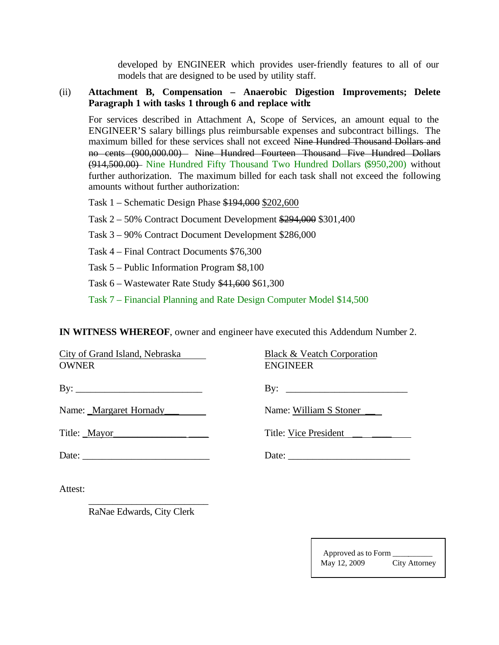developed by ENGINEER which provides user-friendly features to all of our models that are designed to be used by utility staff.

#### (ii) **Attachment B, Compensation – Anaerobic Digestion Improvements; Delete Paragraph 1 with tasks 1 through 6 and replace with:**

For services described in Attachment A, Scope of Services, an amount equal to the ENGINEER'S salary billings plus reimbursable expenses and subcontract billings. The maximum billed for these services shall not exceed Nine Hundred Thousand Dollars and no cents (900,000.00) Nine Hundred Fourteen Thousand Five Hundred Dollars (914,500.00) Nine Hundred Fifty Thousand Two Hundred Dollars (\$950,200) without further authorization. The maximum billed for each task shall not exceed the following amounts without further authorization:

Task 1 – Schematic Design Phase \$194,000 \$202,600

Task 2 – 50% Contract Document Development \$294,000 \$301,400

- Task 3 90% Contract Document Development \$286,000
- Task 4 Final Contract Documents \$76,300

Task 5 – Public Information Program \$8,100

Task 6 – Wastewater Rate Study \$41,600 \$61,300

Task 7 – Financial Planning and Rate Design Computer Model \$14,500

**IN WITNESS WHEREOF**, owner and engineer have executed this Addendum Number 2.

| City of Grand Island, Nebraska<br><b>OWNER</b>                                                                                                                                                                                                                                                                                                                                                                                                    | Black & Veatch Corporation<br><b>ENGINEER</b> |
|---------------------------------------------------------------------------------------------------------------------------------------------------------------------------------------------------------------------------------------------------------------------------------------------------------------------------------------------------------------------------------------------------------------------------------------------------|-----------------------------------------------|
|                                                                                                                                                                                                                                                                                                                                                                                                                                                   |                                               |
| Name: <u>Margaret Hornady</u>                                                                                                                                                                                                                                                                                                                                                                                                                     | Name: William S Stoner                        |
| Title: _Mayor_                                                                                                                                                                                                                                                                                                                                                                                                                                    | Title: Vice President                         |
| Date: $\frac{1}{\sqrt{1-\frac{1}{2}} \cdot \frac{1}{2} \cdot \frac{1}{2} \cdot \frac{1}{2} \cdot \frac{1}{2} \cdot \frac{1}{2} \cdot \frac{1}{2} \cdot \frac{1}{2} \cdot \frac{1}{2} \cdot \frac{1}{2} \cdot \frac{1}{2} \cdot \frac{1}{2} \cdot \frac{1}{2} \cdot \frac{1}{2} \cdot \frac{1}{2} \cdot \frac{1}{2} \cdot \frac{1}{2} \cdot \frac{1}{2} \cdot \frac{1}{2} \cdot \frac{1}{2} \cdot \frac{1}{2} \cdot \frac{1}{2} \cdot \frac{1}{2}$ |                                               |
|                                                                                                                                                                                                                                                                                                                                                                                                                                                   |                                               |

Attest:

RaNae Edwards, City Clerk

\_\_\_\_\_\_\_\_\_\_\_\_\_\_\_\_\_\_\_\_\_\_\_\_\_

Approved as to Form \_\_\_\_\_\_\_\_\_\_ May 12, 2009 City Attorney